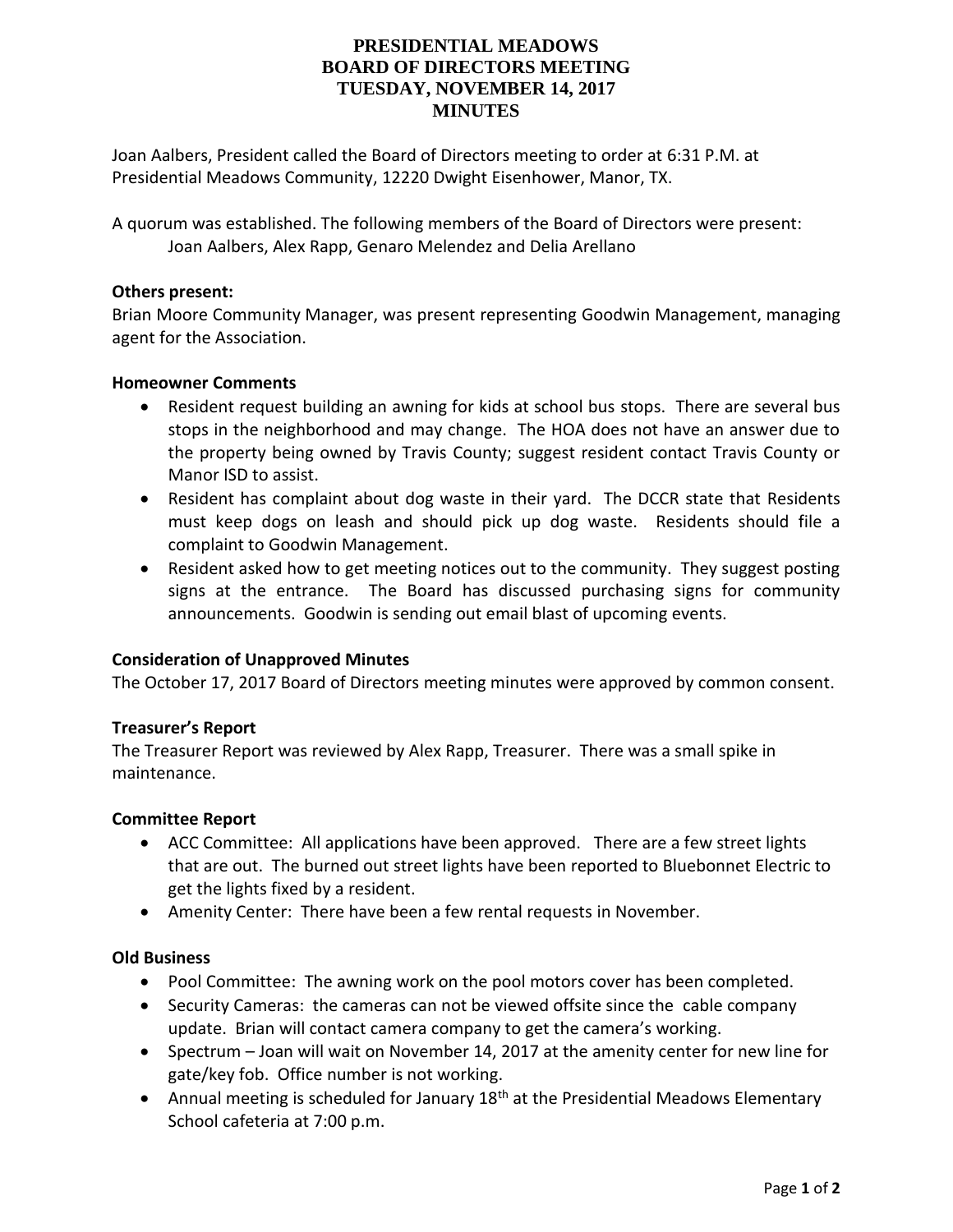# **PRESIDENTIAL MEADOWS BOARD OF DIRECTORS MEETING TUESDAY, NOVEMBER 14, 2017 MINUTES**

Joan Aalbers, President called the Board of Directors meeting to order at 6:31 P.M. at Presidential Meadows Community, 12220 Dwight Eisenhower, Manor, TX.

A quorum was established. The following members of the Board of Directors were present: Joan Aalbers, Alex Rapp, Genaro Melendez and Delia Arellano

### **Others present:**

Brian Moore Community Manager, was present representing Goodwin Management, managing agent for the Association.

### **Homeowner Comments**

- Resident request building an awning for kids at school bus stops. There are several bus stops in the neighborhood and may change. The HOA does not have an answer due to the property being owned by Travis County; suggest resident contact Travis County or Manor ISD to assist.
- Resident has complaint about dog waste in their yard. The DCCR state that Residents must keep dogs on leash and should pick up dog waste. Residents should file a complaint to Goodwin Management.
- Resident asked how to get meeting notices out to the community. They suggest posting signs at the entrance. The Board has discussed purchasing signs for community announcements. Goodwin is sending out email blast of upcoming events.

## **Consideration of Unapproved Minutes**

The October 17, 2017 Board of Directors meeting minutes were approved by common consent.

## **Treasurer's Report**

The Treasurer Report was reviewed by Alex Rapp, Treasurer. There was a small spike in maintenance.

#### **Committee Report**

- ACC Committee: All applications have been approved. There are a few street lights that are out. The burned out street lights have been reported to Bluebonnet Electric to get the lights fixed by a resident.
- Amenity Center: There have been a few rental requests in November.

#### **Old Business**

- Pool Committee: The awning work on the pool motors cover has been completed.
- Security Cameras: the cameras can not be viewed offsite since the cable company update. Brian will contact camera company to get the camera's working.
- Spectrum Joan will wait on November 14, 2017 at the amenity center for new line for gate/key fob. Office number is not working.
- Annual meeting is scheduled for January  $18<sup>th</sup>$  at the Presidential Meadows Elementary School cafeteria at 7:00 p.m.